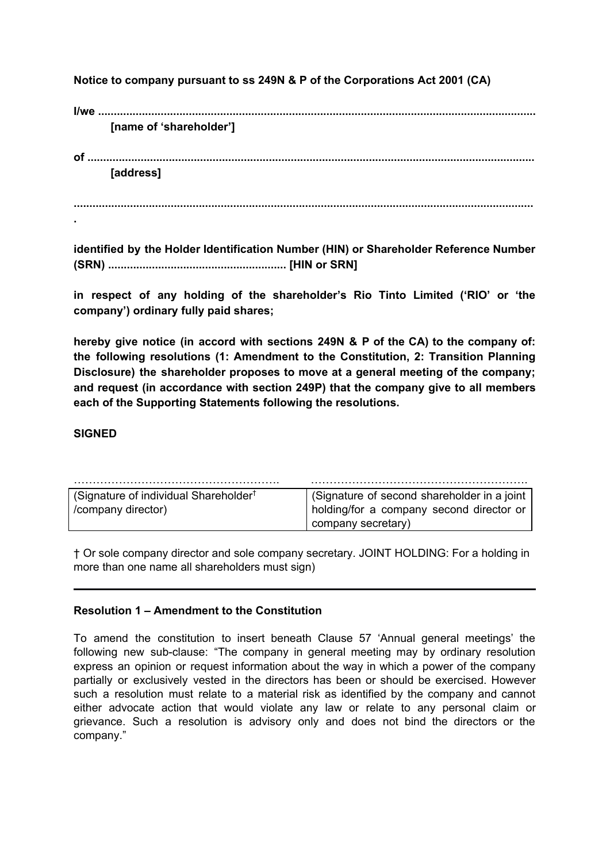**Notice to company pursuant to ss 249N & P of the Corporations Act 2001 (CA)**

**I/we ............................................................................................................................................ [name of 'shareholder'] of ............................................................................................................................................... [address]**

**...................................................................................................................................................**

**identified by the Holder Identification Number (HIN) or Shareholder Reference Number (SRN) ......................................................... [HIN or SRN]**

**in respect of any holding of the shareholder's Rio Tinto Limited ('RIO' or 'the company') ordinary fully paid shares;**

**hereby give notice (in accord with sections 249N & P of the CA) to the company of: the following resolutions (1: Amendment to the Constitution, 2: Transition Planning Disclosure) the shareholder proposes to move at a general meeting of the company; and request (in accordance with section 249P) that the company give to all members each of the Supporting Statements following the resolutions.**

## **SIGNED**

**.**

| (Signature of individual Shareholder <sup>†</sup> | (Signature of second shareholder in a joint |
|---------------------------------------------------|---------------------------------------------|
| /company director)                                | holding/for a company second director or    |
|                                                   | company secretary)                          |

† Or sole company director and sole company secretary. JOINT HOLDING: For a holding in more than one name all shareholders must sign)

### **Resolution 1 – Amendment to the Constitution**

To amend the constitution to insert beneath Clause 57 'Annual general meetings' the following new sub-clause: "The company in general meeting may by ordinary resolution express an opinion or request information about the way in which a power of the company partially or exclusively vested in the directors has been or should be exercised. However such a resolution must relate to a material risk as identified by the company and cannot either advocate action that would violate any law or relate to any personal claim or grievance. Such a resolution is advisory only and does not bind the directors or the company."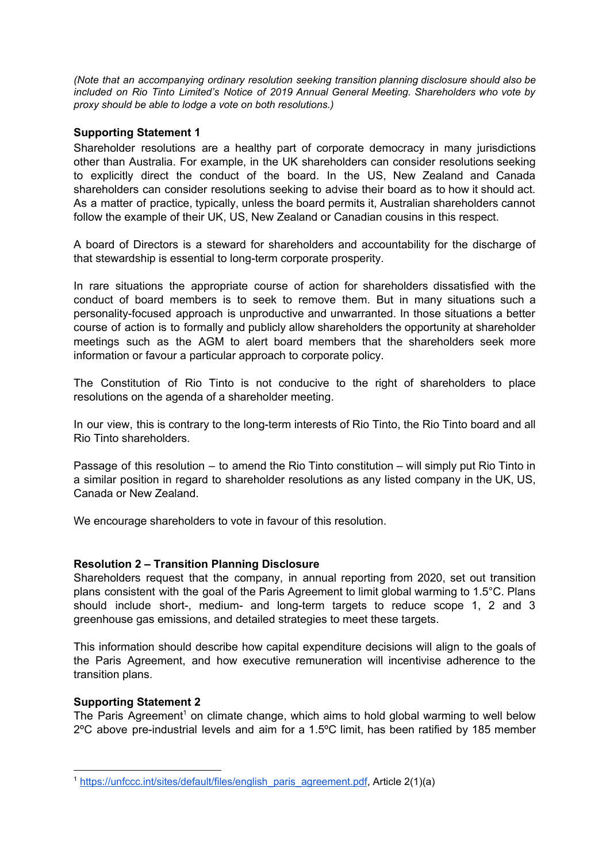*(Note that an accompanying ordinary resolution seeking transition planning disclosure should also be included on Rio Tinto Limited's Notice of 2019 Annual General Meeting. Shareholders who vote by proxy should be able to lodge a vote on both resolutions.)*

# **Supporting Statement 1**

Shareholder resolutions are a healthy part of corporate democracy in many jurisdictions other than Australia. For example, in the UK shareholders can consider resolutions seeking to explicitly direct the conduct of the board. In the US, New Zealand and Canada shareholders can consider resolutions seeking to advise their board as to how it should act. As a matter of practice, typically, unless the board permits it, Australian shareholders cannot follow the example of their UK, US, New Zealand or Canadian cousins in this respect.

A board of Directors is a steward for shareholders and accountability for the discharge of that stewardship is essential to long-term corporate prosperity.

In rare situations the appropriate course of action for shareholders dissatisfied with the conduct of board members is to seek to remove them. But in many situations such a personality-focused approach is unproductive and unwarranted. In those situations a better course of action is to formally and publicly allow shareholders the opportunity at shareholder meetings such as the AGM to alert board members that the shareholders seek more information or favour a particular approach to corporate policy.

The Constitution of Rio Tinto is not conducive to the right of shareholders to place resolutions on the agenda of a shareholder meeting.

In our view, this is contrary to the long-term interests of Rio Tinto, the Rio Tinto board and all Rio Tinto shareholders.

Passage of this resolution – to amend the Rio Tinto constitution – will simply put Rio Tinto in a similar position in regard to shareholder resolutions as any listed company in the UK, US, Canada or New Zealand.

We encourage shareholders to vote in favour of this resolution.

### **Resolution 2 – Transition Planning Disclosure**

Shareholders request that the company, in annual reporting from 2020, set out transition plans consistent with the goal of the Paris Agreement to limit global warming to 1.5°C. Plans should include short-, medium- and long-term targets to reduce scope 1, 2 and 3 greenhouse gas emissions, and detailed strategies to meet these targets.

This information should describe how capital expenditure decisions will align to the goals of the Paris Agreement, and how executive remuneration will incentivise adherence to the transition plans.

### **Supporting Statement 2**

The Paris Agreement<sup>1</sup> on climate change, which aims to hold global warming to well below 2ºC above pre-industrial levels and aim for a 1.5ºC limit, has been ratified by 185 member

<sup>&</sup>lt;sup>1</sup> [https://unfccc.int/sites/default/files/english\\_paris\\_agreement.pdf](https://unfccc.int/sites/default/files/english_paris_agreement.pdf), Article 2(1)(a)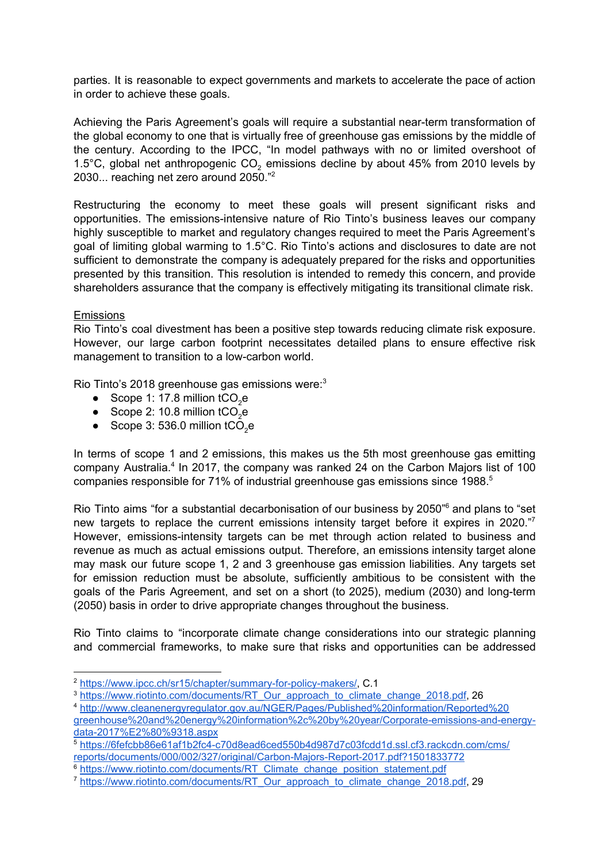parties. It is reasonable to expect governments and markets to accelerate the pace of action in order to achieve these goals.

Achieving the Paris Agreement's goals will require a substantial near-term transformation of the global economy to one that is virtually free of greenhouse gas emissions by the middle of the century. According to the IPCC, "In model pathways with no or limited overshoot of 1.5 $^{\circ}$ C, global net anthropogenic CO<sub>2</sub> emissions decline by about 45% from 2010 levels by 2030... reaching net zero around 2050."<sup>2</sup>

Restructuring the economy to meet these goals will present significant risks and opportunities. The emissions-intensive nature of Rio Tinto's business leaves our company highly susceptible to market and regulatory changes required to meet the Paris Agreement's goal of limiting global warming to 1.5°C. Rio Tinto's actions and disclosures to date are not sufficient to demonstrate the company is adequately prepared for the risks and opportunities presented by this transition. This resolution is intended to remedy this concern, and provide shareholders assurance that the company is effectively mitigating its transitional climate risk.

### **Emissions**

Rio Tinto's coal divestment has been a positive step towards reducing climate risk exposure. However, our large carbon footprint necessitates detailed plans to ensure effective risk management to transition to a low-carbon world.

Rio Tinto's 2018 greenhouse gas emissions were:<sup>3</sup>

- $\bullet$  Scope 1: 17.8 million tCO<sub>2</sub>e
- Scope 2: 10.8 million  $tCO<sub>2</sub>e$
- Scope  $3:536.0$  million  $tCO<sub>2</sub>e$

In terms of scope 1 and 2 emissions, this makes us the 5th most greenhouse gas emitting company Australia. $4$  In 2017, the company was ranked 24 on the Carbon Majors list of 100 companies responsible for 71% of industrial greenhouse gas emissions since 1988. 5

Rio Tinto aims "for a substantial decarbonisation of our business by 2050<sup>"6</sup> and plans to "set new targets to replace the current emissions intensity target before it expires in 2020."7 However, emissions-intensity targets can be met through action related to business and revenue as much as actual emissions output. Therefore, an emissions intensity target alone may mask our future scope 1, 2 and 3 greenhouse gas emission liabilities. Any targets set for emission reduction must be absolute, sufficiently ambitious to be consistent with the goals of the Paris Agreement, and set on a short (to 2025), medium (2030) and long-term (2050) basis in order to drive appropriate changes throughout the business.

Rio Tinto claims to "incorporate climate change considerations into our strategic planning and commercial frameworks, to make sure that risks and opportunities can be addressed

<sup>2</sup> [https://www.ipcc.ch/sr15/chapter/summary-for-policy-makers/,](https://www.ipcc.ch/sr15/chapter/summary-for-policy-makers/) C.1

<sup>&</sup>lt;sup>3</sup> [https://www.riotinto.com/documents/RT\\_Our\\_approach\\_to\\_climate\\_change\\_2018.pdf,](https://www.riotinto.com/documents/RT_Our_approach_to_climate_change_2018.pdf) 26

<sup>4</sup> [http://www.cleanenergyregulator.gov.au/NGER/Pages/Published%20information/Reported%20](http://www.cleanenergyregulator.gov.au/NGER/Pages/Published%20information/Reported%20greenhouse%20and%20energy%20information%2c%20by%20year/Corporate-emissions-and-energy-data-2017%E2%80%9318.aspx) [greenhouse%20and%20energy%20information%2c%20by%20year/Corporate-emissions-and-energy](http://www.cleanenergyregulator.gov.au/NGER/Pages/Published%20information/Reported%20greenhouse%20and%20energy%20information%2c%20by%20year/Corporate-emissions-and-energy-data-2017%E2%80%9318.aspx)[data-2017%E2%80%9318.aspx](http://www.cleanenergyregulator.gov.au/NGER/Pages/Published%20information/Reported%20greenhouse%20and%20energy%20information%2c%20by%20year/Corporate-emissions-and-energy-data-2017%E2%80%9318.aspx)

<sup>5</sup> [https://6fefcbb86e61af1b2fc4-c70d8ead6ced550b4d987d7c03fcdd1d.ssl.cf3.rackcdn.com/cms/](https://6fefcbb86e61af1b2fc4-c70d8ead6ced550b4d987d7c03fcdd1d.ssl.cf3.rackcdn.com/cms/reports/documents/000/002/327/original/Carbon-Majors-Report-2017.pdf?1501833772) [reports/documents/000/002/327/original/Carbon-Majors-Report-2017.pdf?1501833772](https://6fefcbb86e61af1b2fc4-c70d8ead6ced550b4d987d7c03fcdd1d.ssl.cf3.rackcdn.com/cms/reports/documents/000/002/327/original/Carbon-Majors-Report-2017.pdf?1501833772)

<sup>&</sup>lt;sup>6</sup> [https://www.riotinto.com/documents/RT\\_Climate\\_change\\_position\\_statement.pdf](https://www.riotinto.com/documents/RT_Climate_change_position_statement.pdf)

<sup>&</sup>lt;sup>7</sup> [https://www.riotinto.com/documents/RT\\_Our\\_approach\\_to\\_climate\\_change\\_2018.pdf,](https://www.riotinto.com/documents/RT_Our_approach_to_climate_change_2018.pdf) 29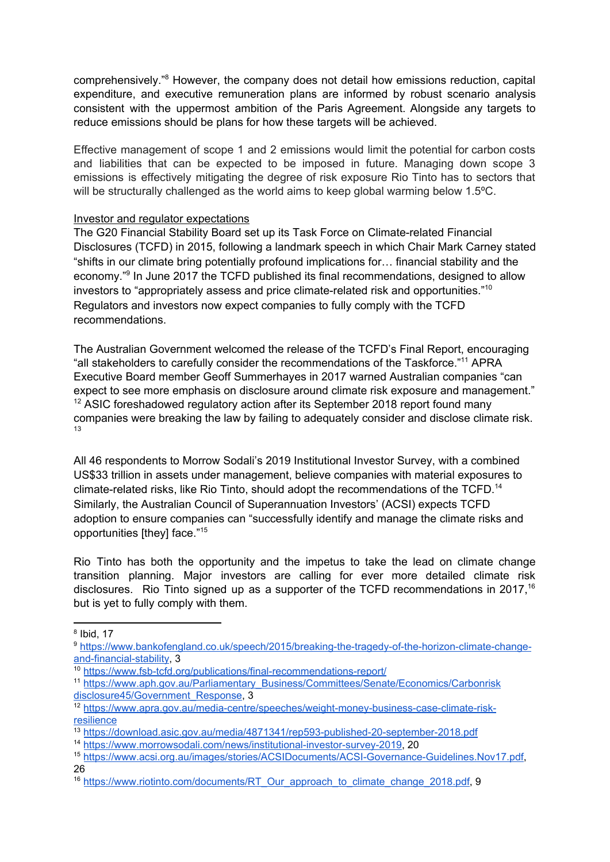comprehensively."<sup>8</sup> However, the company does not detail how emissions reduction, capital expenditure, and executive remuneration plans are informed by robust scenario analysis consistent with the uppermost ambition of the Paris Agreement. Alongside any targets to reduce emissions should be plans for how these targets will be achieved.

Effective management of scope 1 and 2 emissions would limit the potential for carbon costs and liabilities that can be expected to be imposed in future. Managing down scope 3 emissions is effectively mitigating the degree of risk exposure Rio Tinto has to sectors that will be structurally challenged as the world aims to keep global warming below 1.5°C.

### Investor and regulator expectations

The G20 Financial Stability Board set up its Task Force on Climate-related Financial Disclosures (TCFD) in 2015, following a landmark speech in which Chair Mark Carney stated "shifts in our climate bring potentially profound implications for… financial stability and the economy."<sup>9</sup> In June 2017 the TCFD published its final recommendations, designed to allow investors to "appropriately assess and price climate-related risk and opportunities."<sup>10</sup> Regulators and investors now expect companies to fully comply with the TCFD recommendations.

The Australian Government welcomed the release of the TCFD's Final Report, encouraging "all stakeholders to carefully consider the recommendations of the Taskforce."<sup>11</sup> APRA Executive Board member Geoff Summerhayes in 2017 warned Australian companies "can expect to see more emphasis on disclosure around climate risk exposure and management."  $12$  ASIC foreshadowed regulatory action after its September 2018 report found many companies were breaking the law by failing to adequately consider and disclose climate risk. 13

All 46 respondents to Morrow Sodali's 2019 Institutional Investor Survey, with a combined US\$33 trillion in assets under management, believe companies with material exposures to climate-related risks, like Rio Tinto, should adopt the recommendations of the TCFD.<sup>14</sup> Similarly, the Australian Council of Superannuation Investors' (ACSI) expects TCFD adoption to ensure companies can "successfully identify and manage the climate risks and opportunities [they] face." 15

Rio Tinto has both the opportunity and the impetus to take the lead on climate change transition planning. Major investors are calling for ever more detailed climate risk disclosures. Rio Tinto signed up as a supporter of the TCFD recommendations in 2017,<sup>16</sup> but is yet to fully comply with them.

<sup>8</sup> Ibid, 17

<sup>9</sup> [https://www.bankofengland.co.uk/speech/2015/breaking-the-tragedy-of-the-horizon-climate-change](https://www.bankofengland.co.uk/speech/2015/breaking-the-tragedy-of-the-horizon-climate-change-and-financial-stability)[and-financial-stability](https://www.bankofengland.co.uk/speech/2015/breaking-the-tragedy-of-the-horizon-climate-change-and-financial-stability), 3

<sup>10</sup> <https://www.fsb-tcfd.org/publications/final-recommendations-report/>

<sup>&</sup>lt;sup>11</sup> [https://www.aph.gov.au/Parliamentary\\_Business/Committees/Senate/Economics/Carbonrisk](https://www.aph.gov.au/Parliamentary_Business/Committees/Senate/Economics/Carbonriskdisclosure45/Government_Response) [disclosure45/Government\\_Response](https://www.aph.gov.au/Parliamentary_Business/Committees/Senate/Economics/Carbonriskdisclosure45/Government_Response), 3

<sup>12</sup> [https://www.apra.gov.au/media-centre/speeches/weight-money-business-case-climate-risk](https://www.apra.gov.au/media-centre/speeches/weight-money-business-case-climate-risk-resilience)**[resilience](https://www.apra.gov.au/media-centre/speeches/weight-money-business-case-climate-risk-resilience)** 

<sup>13</sup> <https://download.asic.gov.au/media/4871341/rep593-published-20-september-2018.pdf>

<sup>14</sup> [https://www.morrowsodali.com/news/institutional-investor-survey-2019,](https://www.morrowsodali.com/news/institutional-investor-survey-2019) 20

<sup>15</sup> [https://www.acsi.org.au/images/stories/ACSIDocuments/ACSI-Governance-Guidelines.Nov17.pdf,](https://www.acsi.org.au/images/stories/ACSIDocuments/ACSI-Governance-Guidelines.Nov17.pdf) 26

<sup>&</sup>lt;sup>16</sup> [https://www.riotinto.com/documents/RT\\_Our\\_approach\\_to\\_climate\\_change\\_2018.pdf](https://www.riotinto.com/documents/RT_Our_approach_to_climate_change_2018.pdf), 9